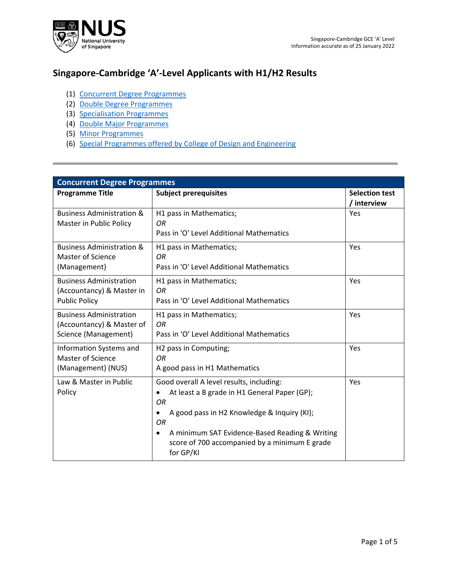

## **Singapore-Cambridge 'A'-Level Applicants with H1/H2 Results**

- (1) [Concurrent Degree Programmes](#page-0-0)
- (2) [Double Degree Programmes](#page-1-0)
- (3) [Specialisation Programmes](#page-3-0)
- (4) [Double Major Programmes](#page-4-0)
- (5) [Minor Programmes](#page-4-1)
- (6) [Special Programmes offered by College of Design and Engineering](#page-4-2)

<span id="page-0-0"></span>

| <b>Concurrent Degree Programmes</b>                                                 |                                                                                                                                                                                                                                                                                    |                                      |  |
|-------------------------------------------------------------------------------------|------------------------------------------------------------------------------------------------------------------------------------------------------------------------------------------------------------------------------------------------------------------------------------|--------------------------------------|--|
| <b>Programme Title</b>                                                              | <b>Subject prerequisites</b>                                                                                                                                                                                                                                                       | <b>Selection test</b><br>/ interview |  |
| <b>Business Administration &amp;</b><br>Master in Public Policy                     | H1 pass in Mathematics;<br>ΟR<br>Pass in 'O' Level Additional Mathematics                                                                                                                                                                                                          | Yes                                  |  |
| <b>Business Administration &amp;</b><br>Master of Science<br>(Management)           | H1 pass in Mathematics;<br>OR<br>Pass in 'O' Level Additional Mathematics                                                                                                                                                                                                          | Yes                                  |  |
| <b>Business Administration</b><br>(Accountancy) & Master in<br><b>Public Policy</b> | H1 pass in Mathematics;<br>O <sub>R</sub><br>Pass in 'O' Level Additional Mathematics                                                                                                                                                                                              | Yes                                  |  |
| <b>Business Administration</b><br>(Accountancy) & Master of<br>Science (Management) | H <sub>1</sub> pass in Mathematics;<br>0R<br>Pass in 'O' Level Additional Mathematics                                                                                                                                                                                              | Yes                                  |  |
| Information Systems and<br><b>Master of Science</b><br>(Management) (NUS)           | H2 pass in Computing;<br>OR<br>A good pass in H1 Mathematics                                                                                                                                                                                                                       | Yes                                  |  |
| Law & Master in Public<br>Policy                                                    | Good overall A level results, including:<br>At least a B grade in H1 General Paper (GP);<br>٠<br>OR<br>A good pass in H2 Knowledge & Inquiry (KI);<br>٠<br>0R<br>A minimum SAT Evidence-Based Reading & Writing<br>٠<br>score of 700 accompanied by a minimum E grade<br>for GP/KI | Yes                                  |  |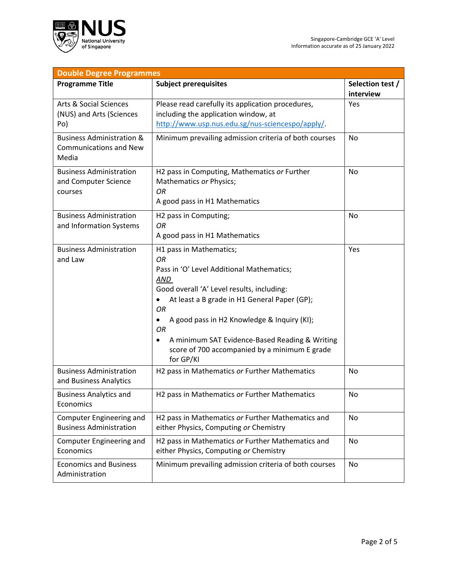

<span id="page-1-0"></span>

| <b>Double Degree Programmes</b>                                                |                                                                                                                                                                                                                                                                                                                                                                                      |                               |  |
|--------------------------------------------------------------------------------|--------------------------------------------------------------------------------------------------------------------------------------------------------------------------------------------------------------------------------------------------------------------------------------------------------------------------------------------------------------------------------------|-------------------------------|--|
| <b>Programme Title</b>                                                         | <b>Subject prerequisites</b>                                                                                                                                                                                                                                                                                                                                                         | Selection test /<br>interview |  |
| <b>Arts &amp; Social Sciences</b><br>(NUS) and Arts (Sciences<br>Po)           | Please read carefully its application procedures,<br>including the application window, at<br>http://www.usp.nus.edu.sg/nus-sciencespo/apply/.                                                                                                                                                                                                                                        | Yes                           |  |
| <b>Business Administration &amp;</b><br><b>Communications and New</b><br>Media | Minimum prevailing admission criteria of both courses                                                                                                                                                                                                                                                                                                                                | No                            |  |
| <b>Business Administration</b><br>and Computer Science<br>courses              | H2 pass in Computing, Mathematics or Further<br>Mathematics or Physics;<br><b>OR</b><br>A good pass in H1 Mathematics                                                                                                                                                                                                                                                                | <b>No</b>                     |  |
| <b>Business Administration</b><br>and Information Systems                      | H2 pass in Computing;<br><b>OR</b><br>A good pass in H1 Mathematics                                                                                                                                                                                                                                                                                                                  | <b>No</b>                     |  |
| <b>Business Administration</b><br>and Law                                      | H1 pass in Mathematics;<br><b>OR</b><br>Pass in 'O' Level Additional Mathematics;<br>AND<br>Good overall 'A' Level results, including:<br>At least a B grade in H1 General Paper (GP);<br><b>OR</b><br>A good pass in H2 Knowledge & Inquiry (KI);<br>٠<br><b>OR</b><br>A minimum SAT Evidence-Based Reading & Writing<br>score of 700 accompanied by a minimum E grade<br>for GP/KI | Yes                           |  |
| <b>Business Administration</b><br>and Business Analytics                       | H2 pass in Mathematics or Further Mathematics                                                                                                                                                                                                                                                                                                                                        | No                            |  |
| <b>Business Analytics and</b><br>Economics                                     | H2 pass in Mathematics or Further Mathematics                                                                                                                                                                                                                                                                                                                                        | No                            |  |
| Computer Engineering and<br><b>Business Administration</b>                     | H2 pass in Mathematics or Further Mathematics and<br>either Physics, Computing or Chemistry                                                                                                                                                                                                                                                                                          | No                            |  |
| Computer Engineering and<br>Economics                                          | H2 pass in Mathematics or Further Mathematics and<br>either Physics, Computing or Chemistry                                                                                                                                                                                                                                                                                          | <b>No</b>                     |  |
| <b>Economics and Business</b><br>Administration                                | Minimum prevailing admission criteria of both courses                                                                                                                                                                                                                                                                                                                                | No                            |  |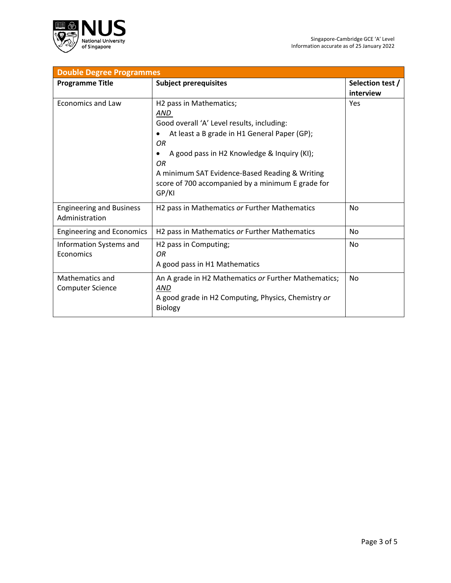

| <b>Double Degree Programmes</b>                   |                                                                       |                  |  |
|---------------------------------------------------|-----------------------------------------------------------------------|------------------|--|
| <b>Programme Title</b>                            | <b>Subject prerequisites</b>                                          | Selection test / |  |
|                                                   |                                                                       | interview        |  |
| <b>Economics and Law</b>                          | H <sub>2</sub> pass in Mathematics;                                   | Yes              |  |
|                                                   | AND                                                                   |                  |  |
|                                                   | Good overall 'A' Level results, including:                            |                  |  |
|                                                   | At least a B grade in H1 General Paper (GP);                          |                  |  |
|                                                   | OR                                                                    |                  |  |
|                                                   | A good pass in H2 Knowledge & Inquiry (KI);<br>OR                     |                  |  |
|                                                   | A minimum SAT Evidence-Based Reading & Writing                        |                  |  |
|                                                   | score of 700 accompanied by a minimum E grade for<br>GP/KI            |                  |  |
| <b>Engineering and Business</b><br>Administration | H2 pass in Mathematics or Further Mathematics                         | No               |  |
| <b>Engineering and Economics</b>                  | H2 pass in Mathematics or Further Mathematics                         | <b>No</b>        |  |
| Information Systems and                           | H2 pass in Computing;                                                 | No               |  |
| Economics                                         | OR.                                                                   |                  |  |
|                                                   | A good pass in H1 Mathematics                                         |                  |  |
| Mathematics and                                   | An A grade in H2 Mathematics or Further Mathematics;                  | No               |  |
| <b>Computer Science</b>                           | AND                                                                   |                  |  |
|                                                   | A good grade in H2 Computing, Physics, Chemistry or<br><b>Biology</b> |                  |  |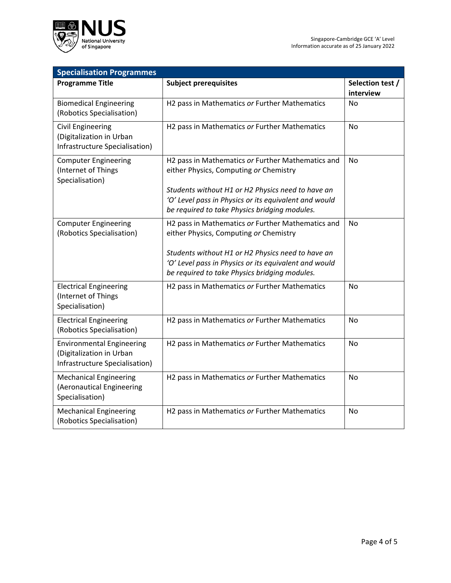

<span id="page-3-0"></span>

| <b>Specialisation Programmes</b>                                                               |                                                                                                                                                                                                                                                            |                               |  |  |
|------------------------------------------------------------------------------------------------|------------------------------------------------------------------------------------------------------------------------------------------------------------------------------------------------------------------------------------------------------------|-------------------------------|--|--|
| <b>Programme Title</b>                                                                         | <b>Subject prerequisites</b>                                                                                                                                                                                                                               | Selection test /<br>interview |  |  |
| <b>Biomedical Engineering</b><br>(Robotics Specialisation)                                     | H2 pass in Mathematics or Further Mathematics                                                                                                                                                                                                              | <b>No</b>                     |  |  |
| <b>Civil Engineering</b><br>(Digitalization in Urban<br>Infrastructure Specialisation)         | H2 pass in Mathematics or Further Mathematics                                                                                                                                                                                                              | <b>No</b>                     |  |  |
| <b>Computer Engineering</b><br>(Internet of Things<br>Specialisation)                          | H2 pass in Mathematics or Further Mathematics and<br>either Physics, Computing or Chemistry<br>Students without H1 or H2 Physics need to have an<br>'O' Level pass in Physics or its equivalent and would<br>be required to take Physics bridging modules. | <b>No</b>                     |  |  |
| <b>Computer Engineering</b><br>(Robotics Specialisation)                                       | H2 pass in Mathematics or Further Mathematics and<br>either Physics, Computing or Chemistry<br>Students without H1 or H2 Physics need to have an<br>'O' Level pass in Physics or its equivalent and would<br>be required to take Physics bridging modules. | No                            |  |  |
| <b>Electrical Engineering</b><br>(Internet of Things<br>Specialisation)                        | H2 pass in Mathematics or Further Mathematics                                                                                                                                                                                                              | No                            |  |  |
| <b>Electrical Engineering</b><br>(Robotics Specialisation)                                     | H2 pass in Mathematics or Further Mathematics                                                                                                                                                                                                              | <b>No</b>                     |  |  |
| <b>Environmental Engineering</b><br>(Digitalization in Urban<br>Infrastructure Specialisation) | H2 pass in Mathematics or Further Mathematics                                                                                                                                                                                                              | No                            |  |  |
| <b>Mechanical Engineering</b><br>(Aeronautical Engineering<br>Specialisation)                  | H2 pass in Mathematics or Further Mathematics                                                                                                                                                                                                              | <b>No</b>                     |  |  |
| <b>Mechanical Engineering</b><br>(Robotics Specialisation)                                     | H2 pass in Mathematics or Further Mathematics                                                                                                                                                                                                              | No                            |  |  |